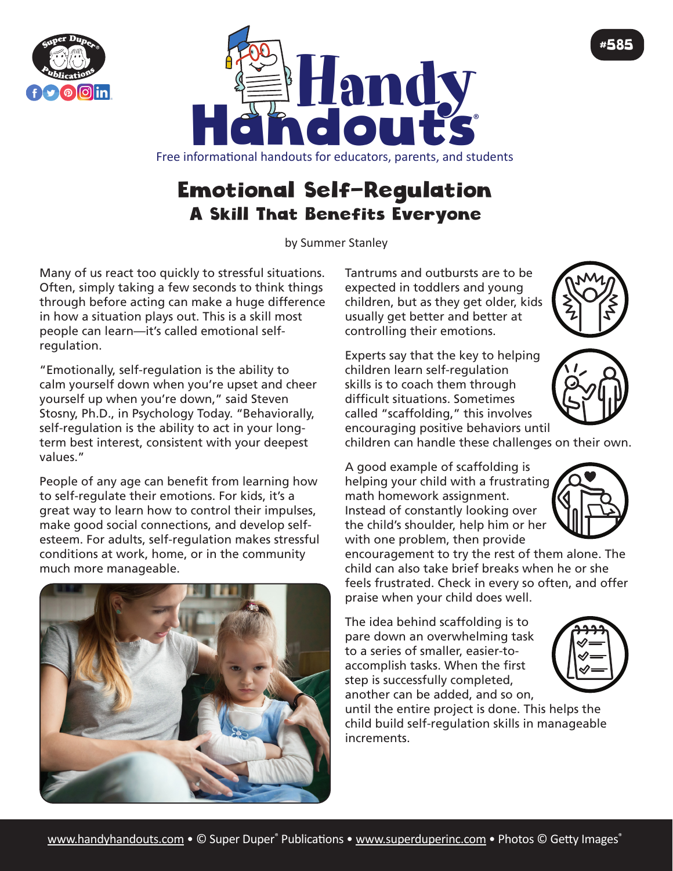



## Emotional Self-Regulation A Skill That Benefits Everyone

by Summer Stanley

Many of us react too quickly to stressful situations. Often, simply taking a few seconds to think things through before acting can make a huge difference in how a situation plays out. This is a skill most people can learn—it's called emotional selfregulation.

"Emotionally, self-regulation is the ability to calm yourself down when you're upset and cheer yourself up when you're down," said Steven Stosny, Ph.D., in Psychology Today. "Behaviorally, self-regulation is the ability to act in your longterm best interest, consistent with your deepest values."

People of any age can benefit from learning how to self-regulate their emotions. For kids, it's a great way to learn how to control their impulses, make good social connections, and develop selfesteem. For adults, self-regulation makes stressful conditions at work, home, or in the community much more manageable.



Tantrums and outbursts are to be expected in toddlers and young children, but as they get older, kids usually get better and better at controlling their emotions.

Experts say that the key to helping children learn self-regulation skills is to coach them through difficult situations. Sometimes called "scaffolding," this involves encouraging positive behaviors until



#585



children can handle these challenges on their own.

A good example of scaffolding is helping your child with a frustrating math homework assignment. Instead of constantly looking over the child's shoulder, help him or her with one problem, then provide

encouragement to try the rest of them alone. The child can also take brief breaks when he or she feels frustrated. Check in every so often, and offer praise when your child does well.

The idea behind scaffolding is to pare down an overwhelming task to a series of smaller, easier-toaccomplish tasks. When the first step is successfully completed, another can be added, and so on,

until the entire project is done. This helps the child build self-regulation skills in manageable increments.